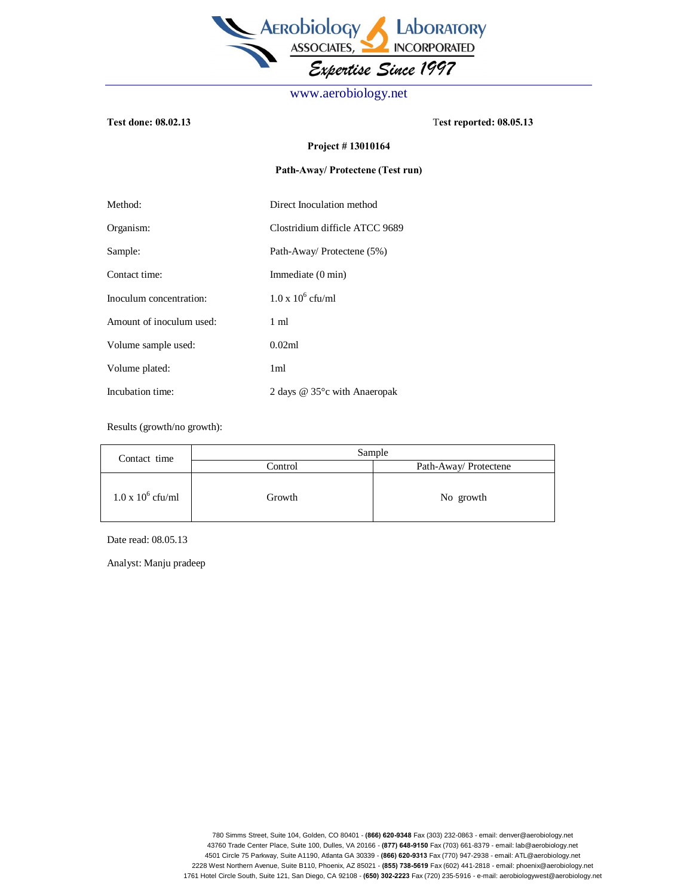

www.aerobiology.net

**Test done: 08.02.13** T**est reported: 08.05.13** 

## **Project # 13010164**

## **Path-Away/ Protectene (Test run)**

| Method:                  | Direct Inoculation method                 |  |
|--------------------------|-------------------------------------------|--|
| Organism:                | Clostridium difficle ATCC 9689            |  |
| Sample:                  | Path-Away/ Protectene (5%)                |  |
| Contact time:            | Immediate (0 min)                         |  |
| Inoculum concentration:  | $1.0 \times 10^6$ cfu/ml                  |  |
| Amount of inoculum used: | 1 ml                                      |  |
| Volume sample used:      | 0.02ml                                    |  |
| Volume plated:           | 1 <sub>ml</sub>                           |  |
| Incubation time:         | 2 days $@$ 35 $^{\circ}$ c with Anaeropak |  |

Results (growth/no growth):

| Contact time             | Sample  |                       |
|--------------------------|---------|-----------------------|
|                          | Control | Path-Away/ Protectene |
| $1.0 \times 10^6$ cfu/ml | Growth  | No growth             |

Date read: 08.05.13

Analyst: Manju pradeep